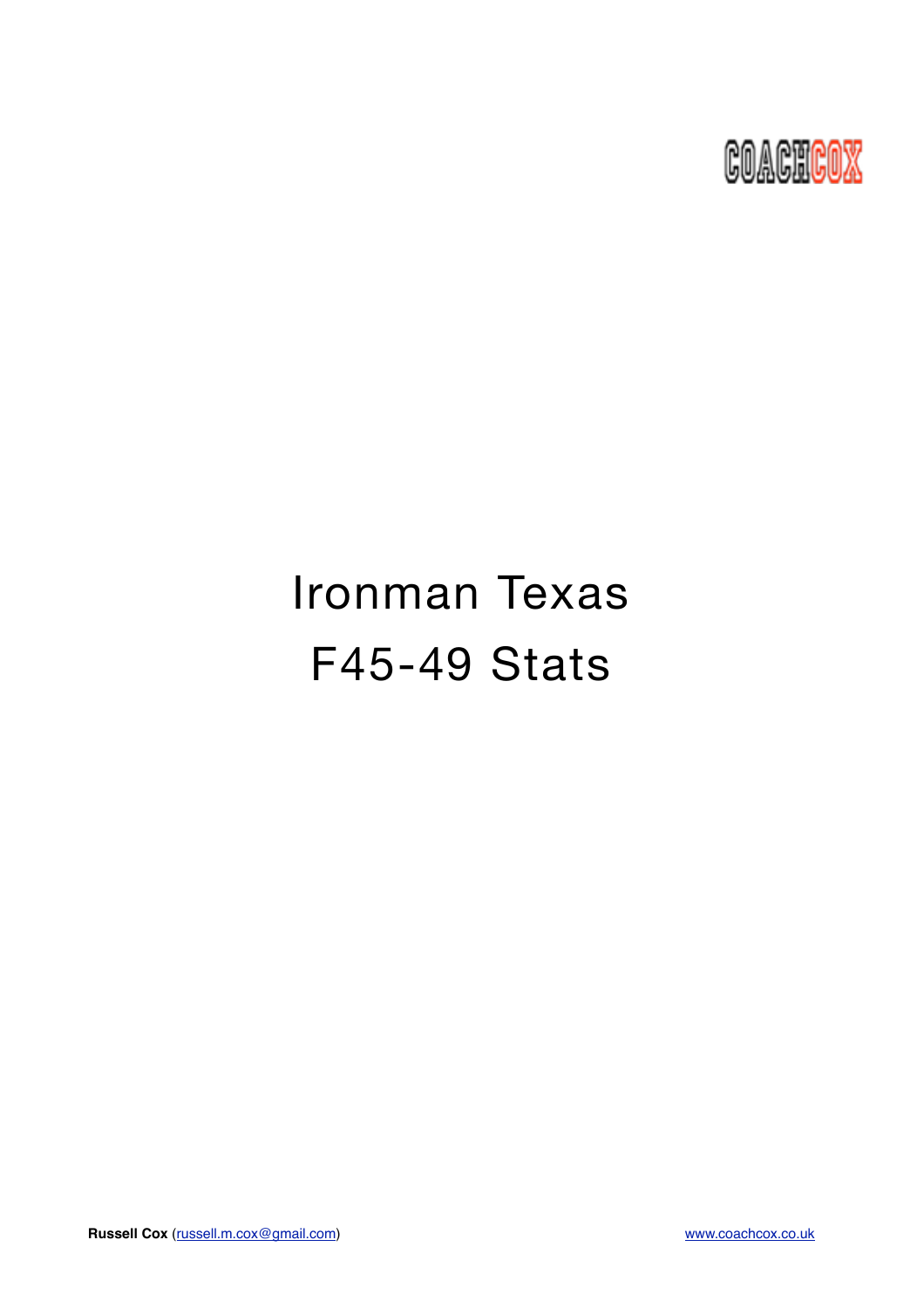

# Ironman Texas F45-49 Stats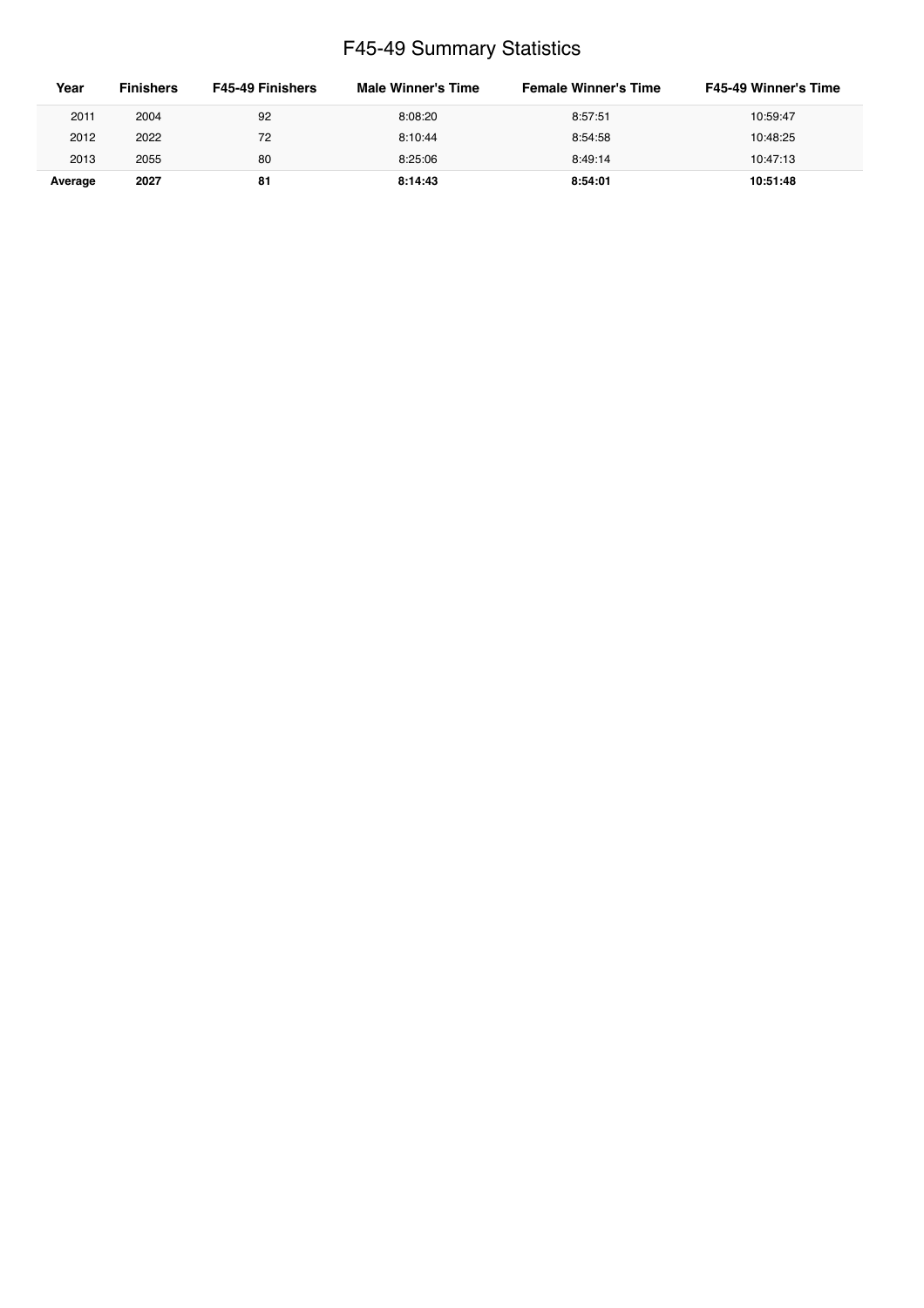## F45-49 Summary Statistics

| Year    | <b>Finishers</b> | <b>F45-49 Finishers</b> | Male Winner's Time | <b>Female Winner's Time</b> | <b>F45-49 Winner's Time</b> |
|---------|------------------|-------------------------|--------------------|-----------------------------|-----------------------------|
| 2011    | 2004             | 92                      | 8:08:20            | 8:57:51                     | 10:59:47                    |
| 2012    | 2022             | 72                      | 8:10:44            | 8:54:58                     | 10:48:25                    |
| 2013    | 2055             | 80                      | 8:25:06            | 8:49:14                     | 10:47:13                    |
| Average | 2027             | 81                      | 8:14:43            | 8:54:01                     | 10:51:48                    |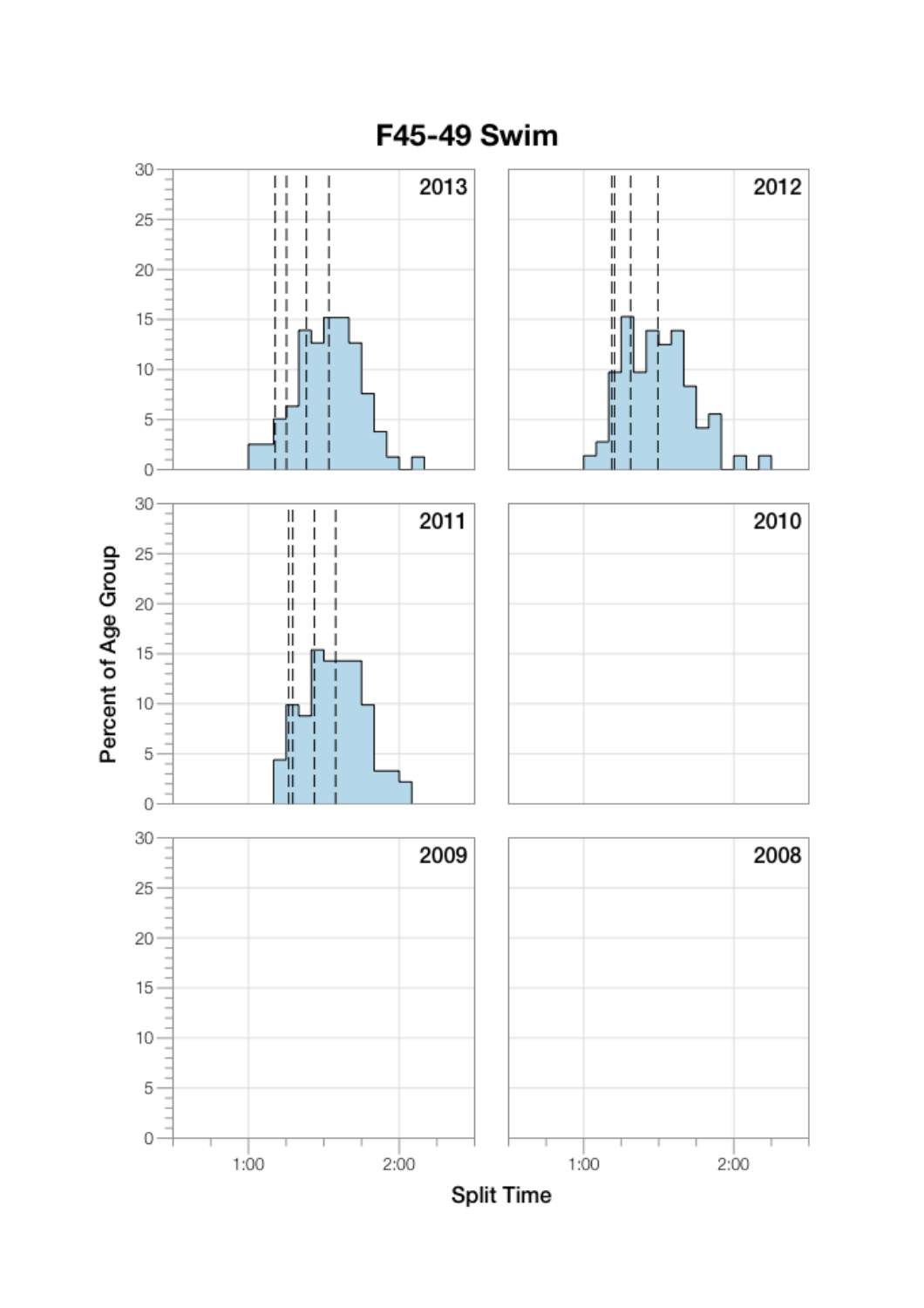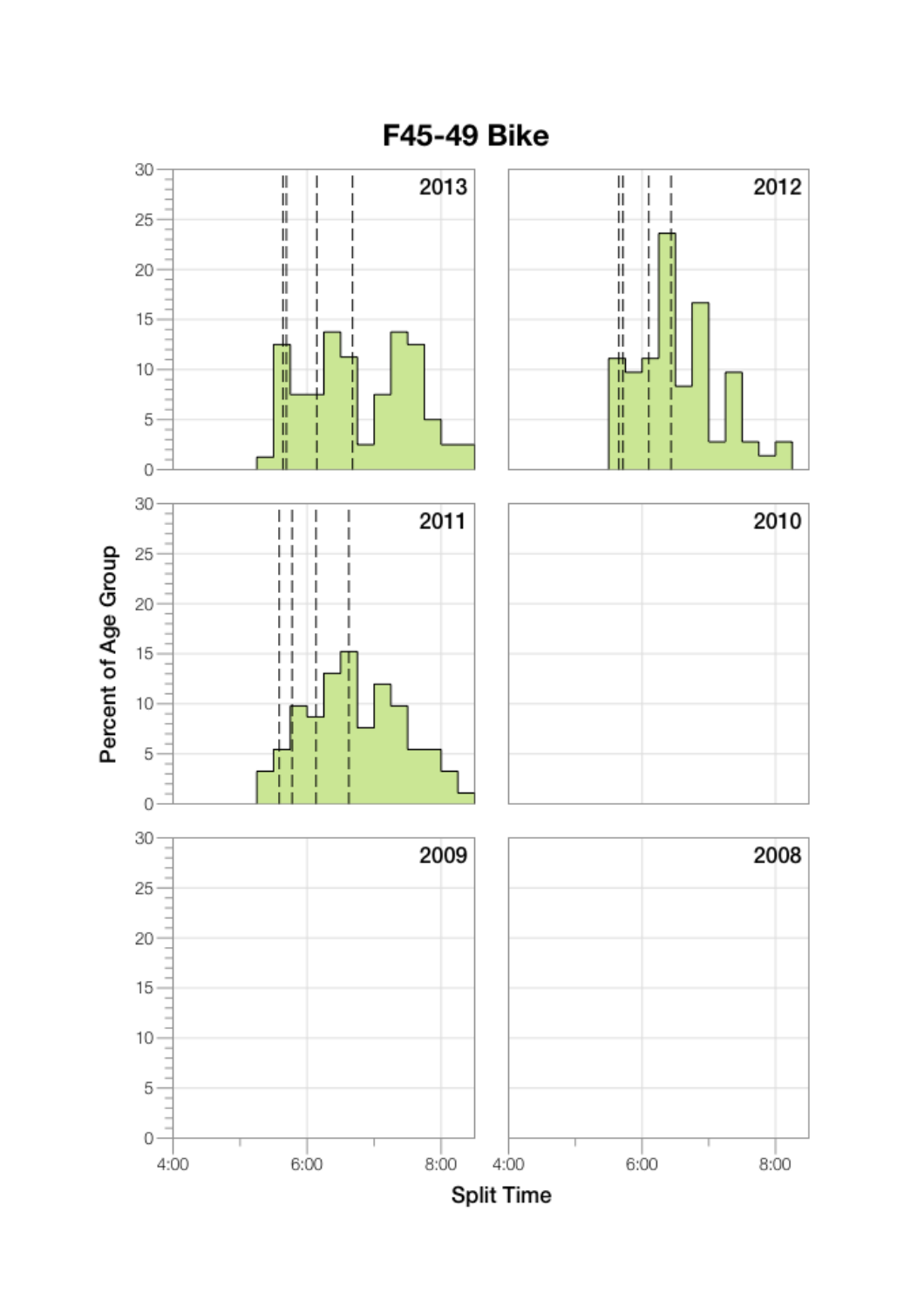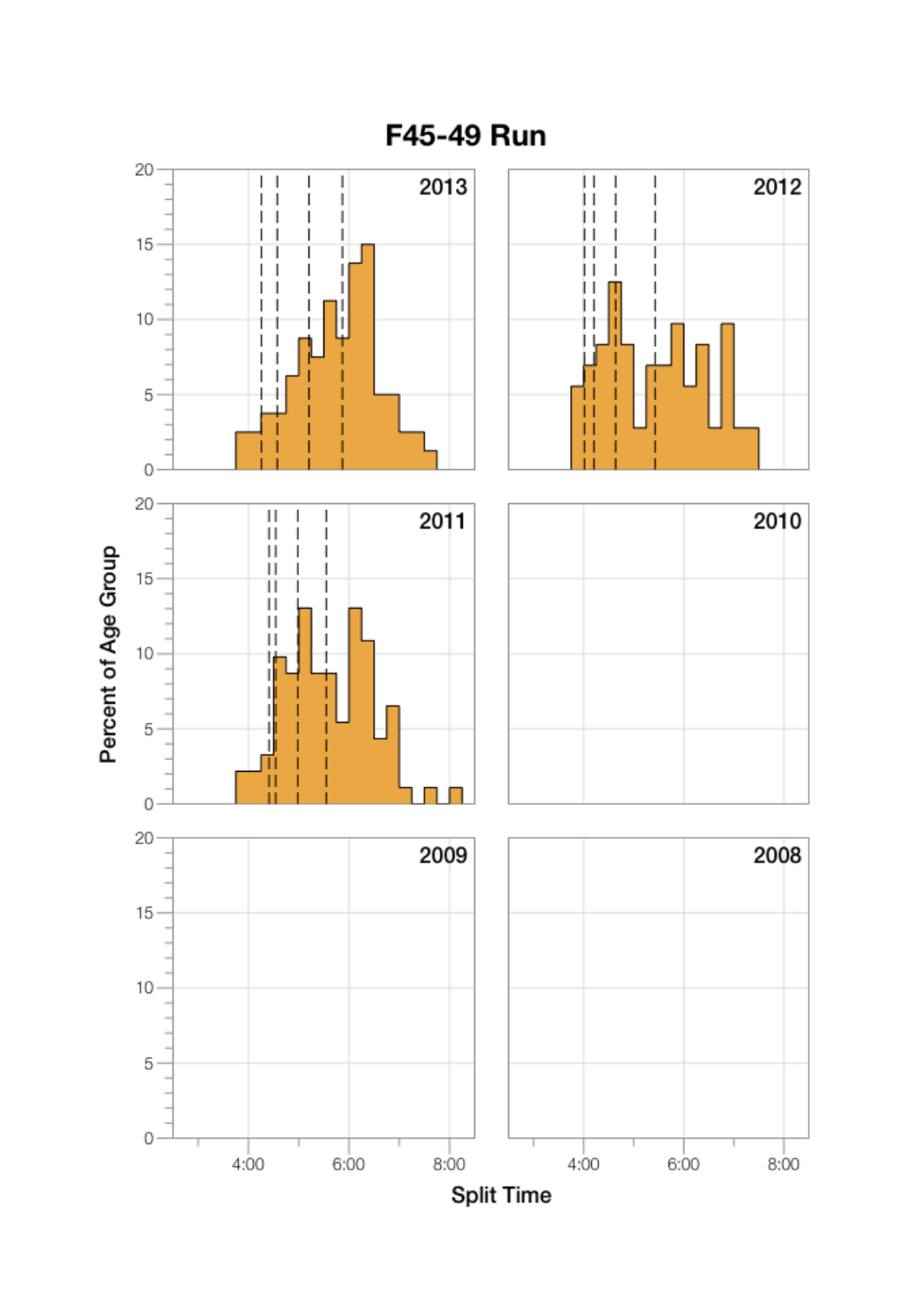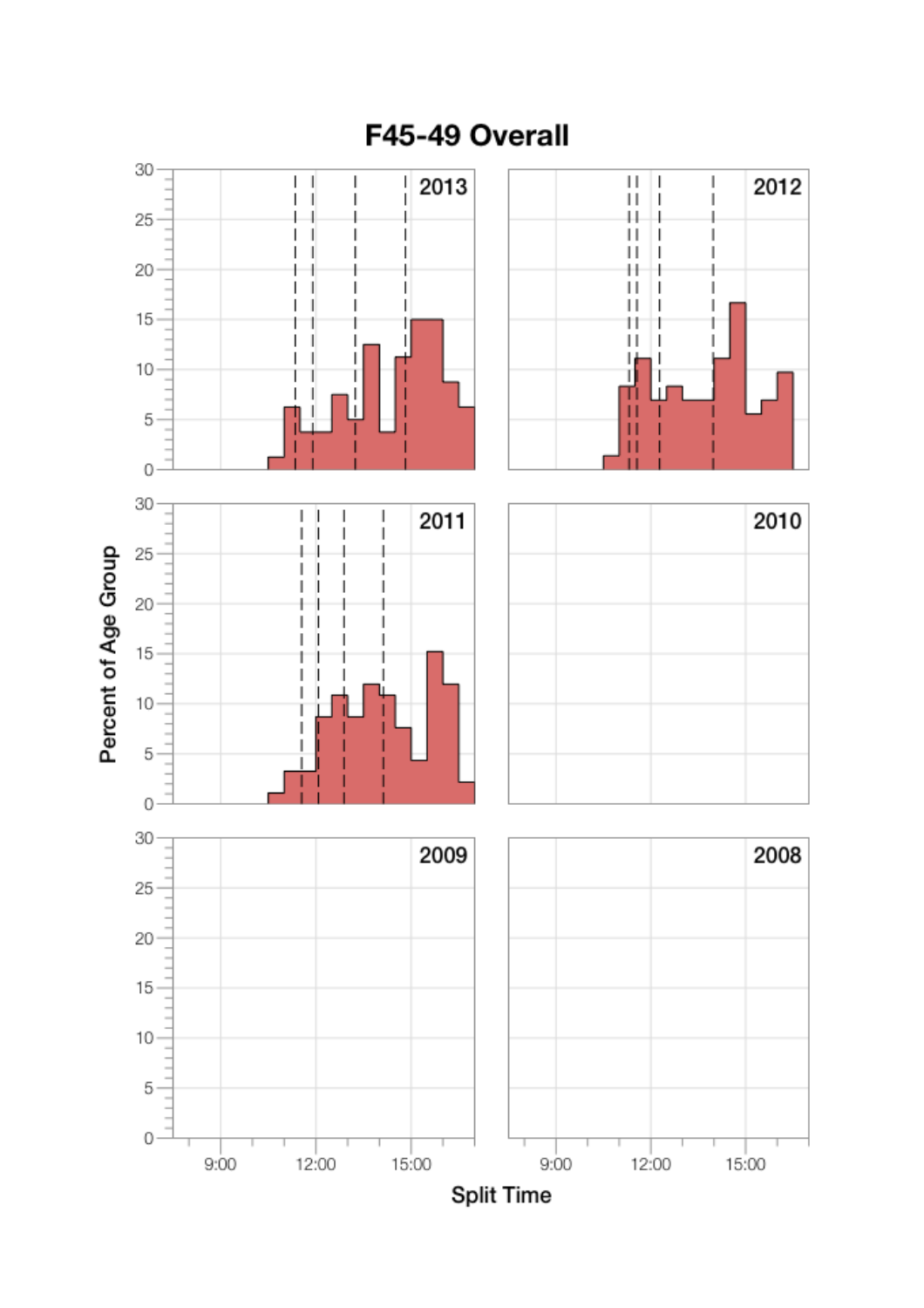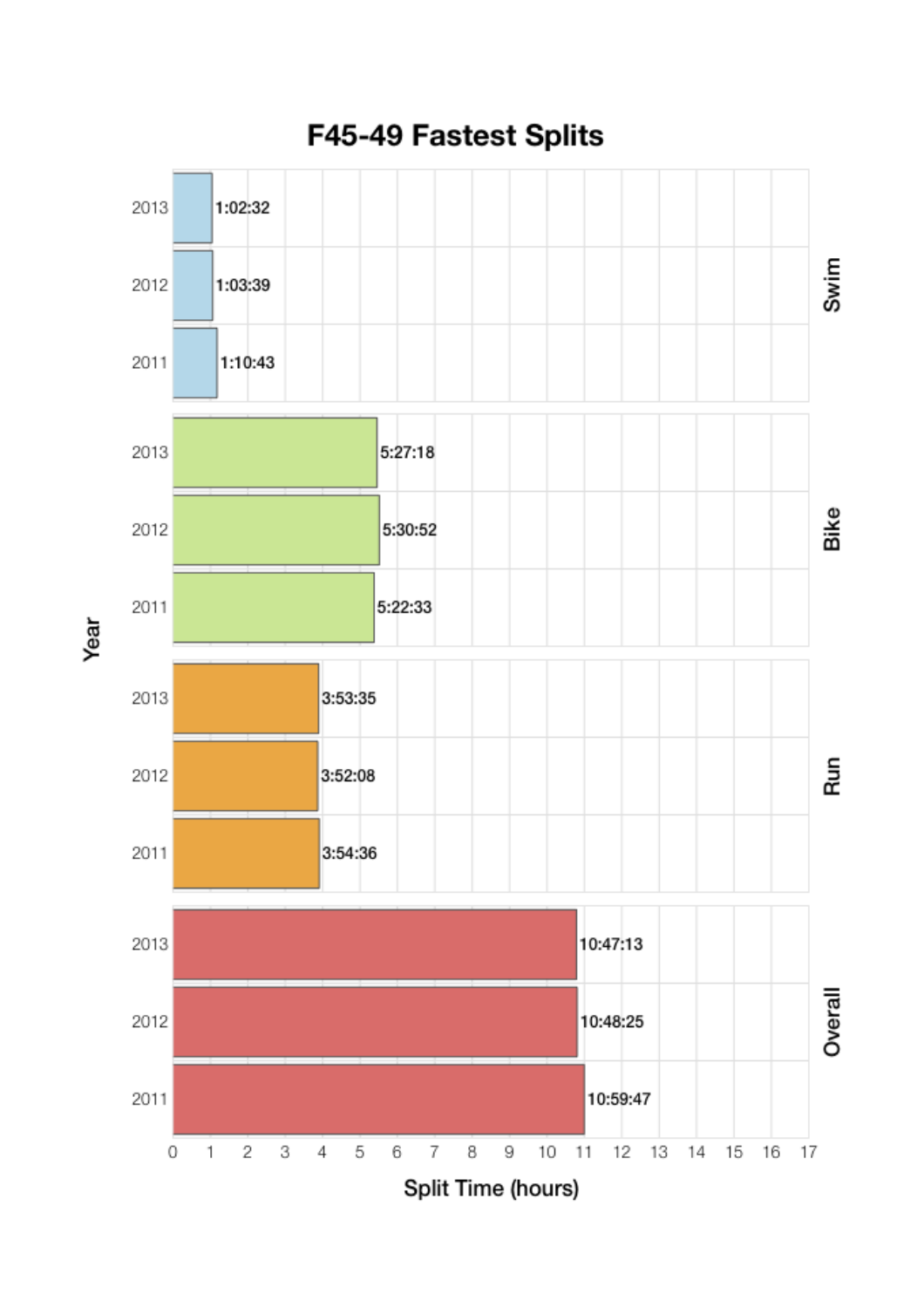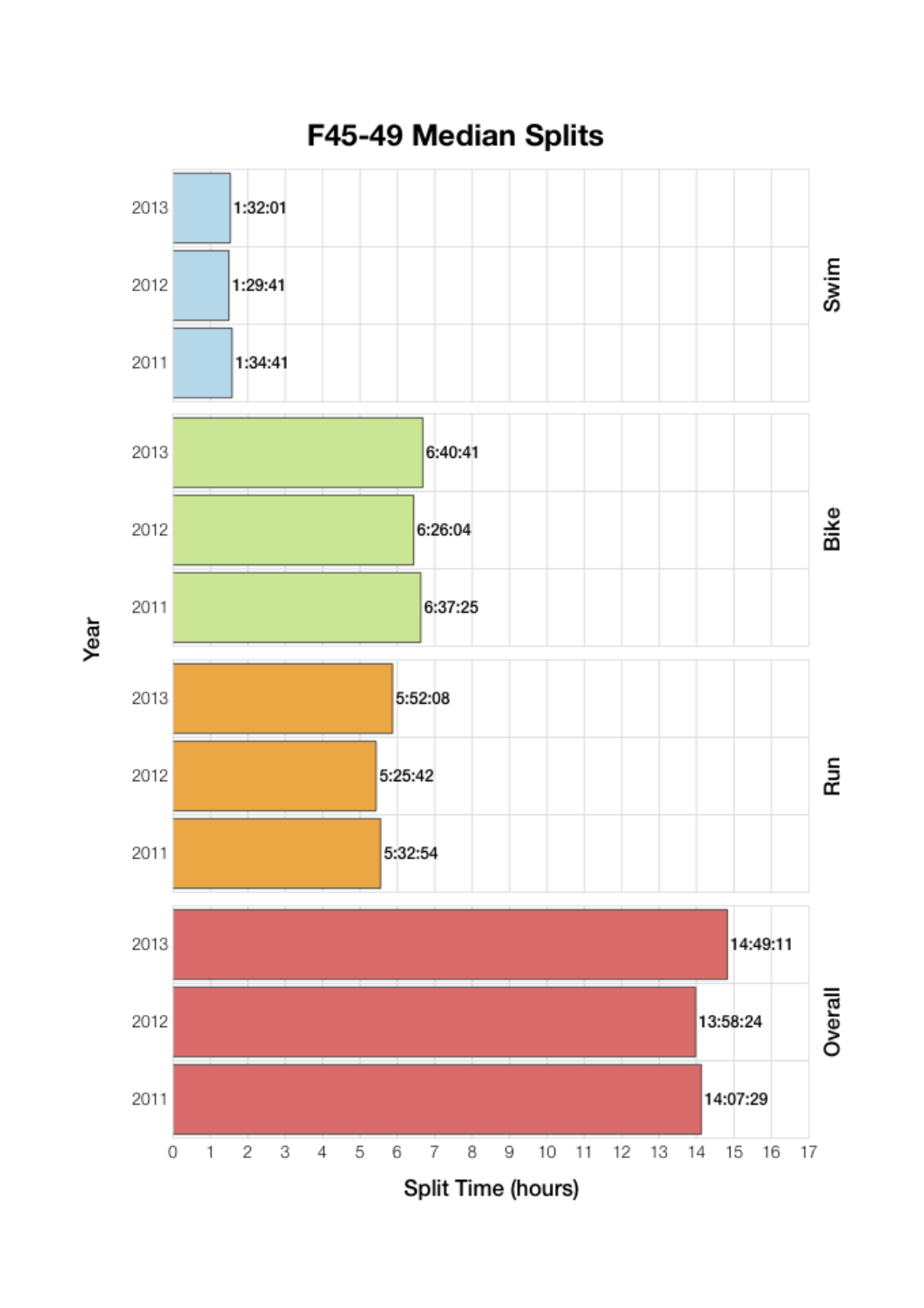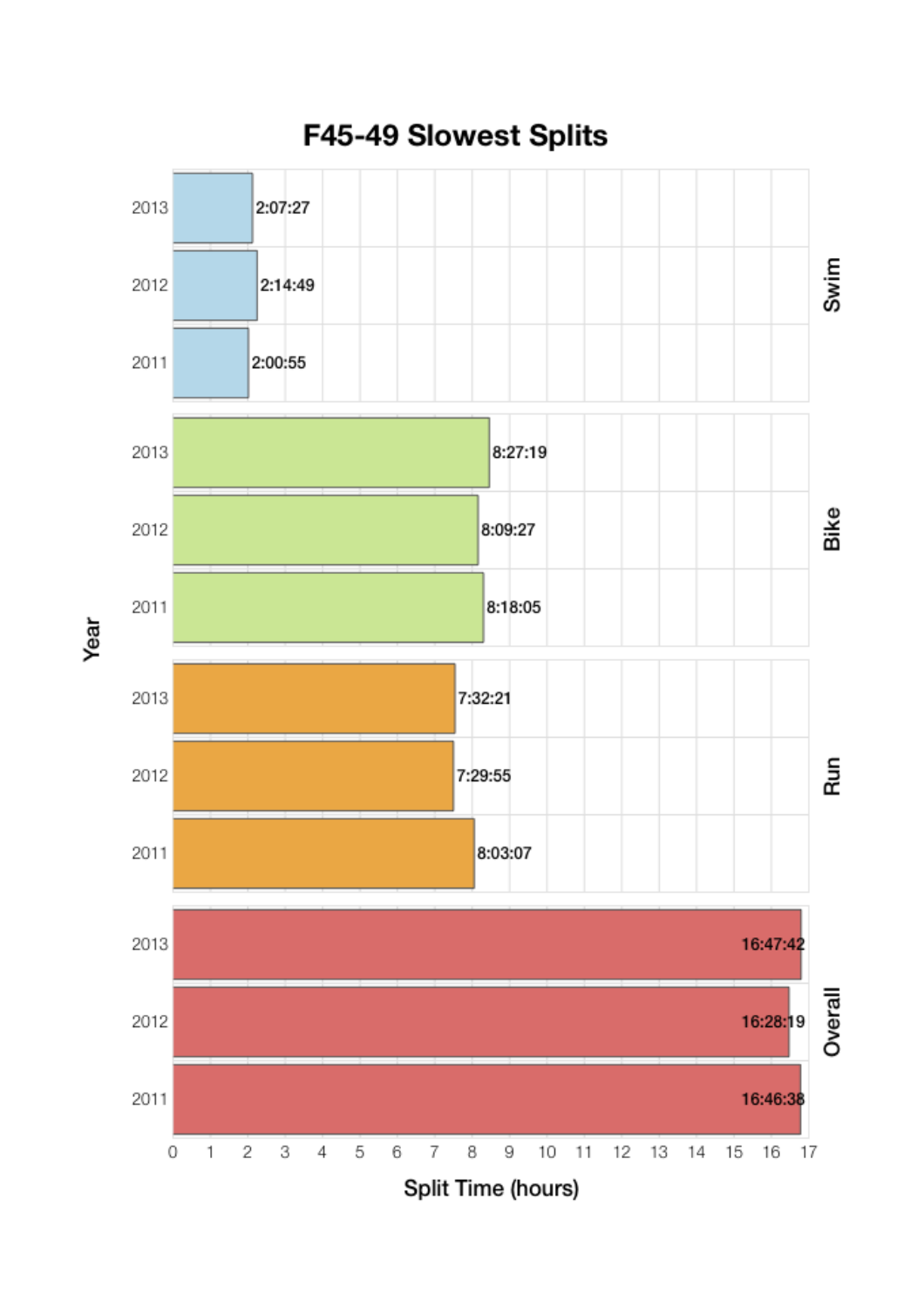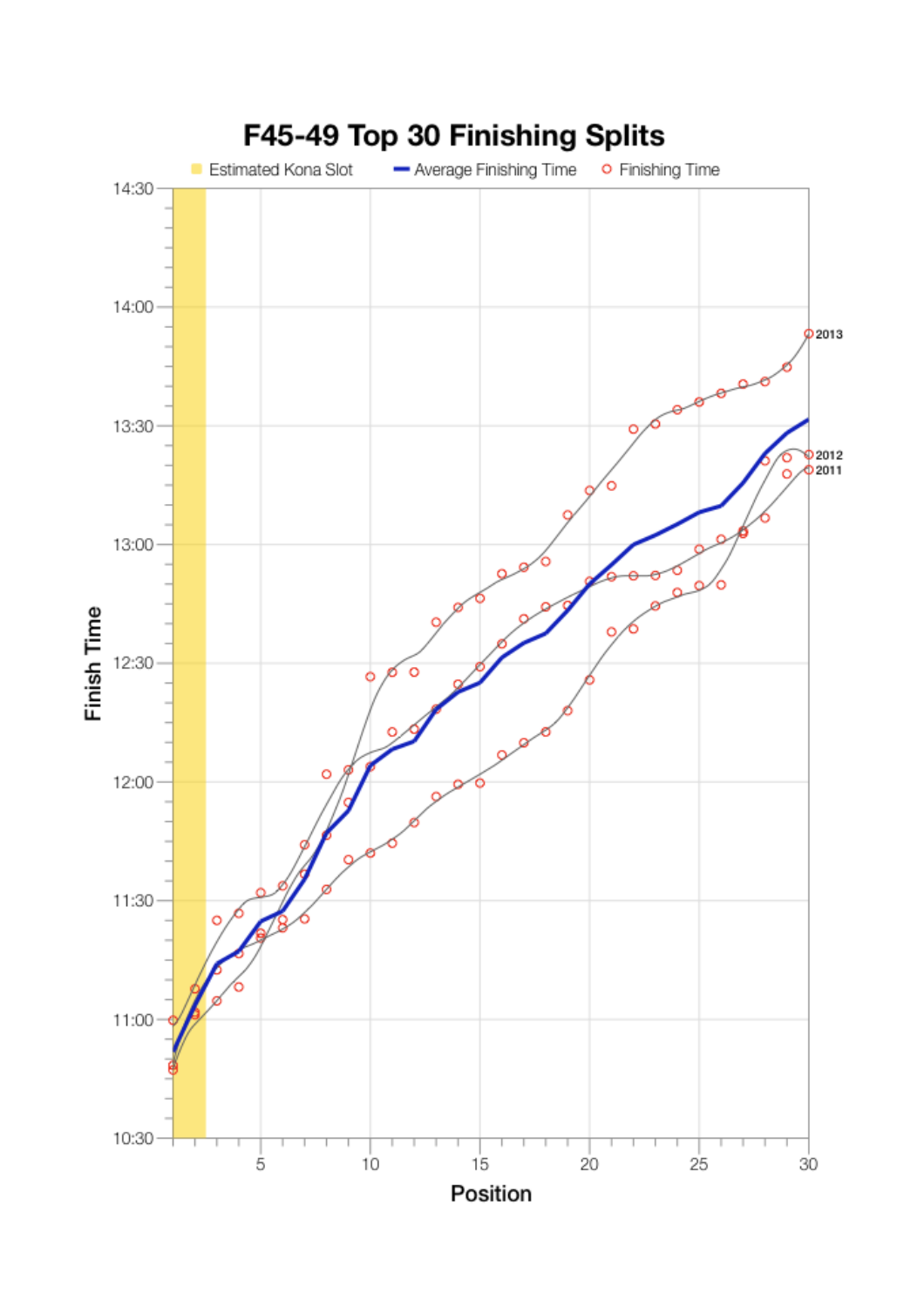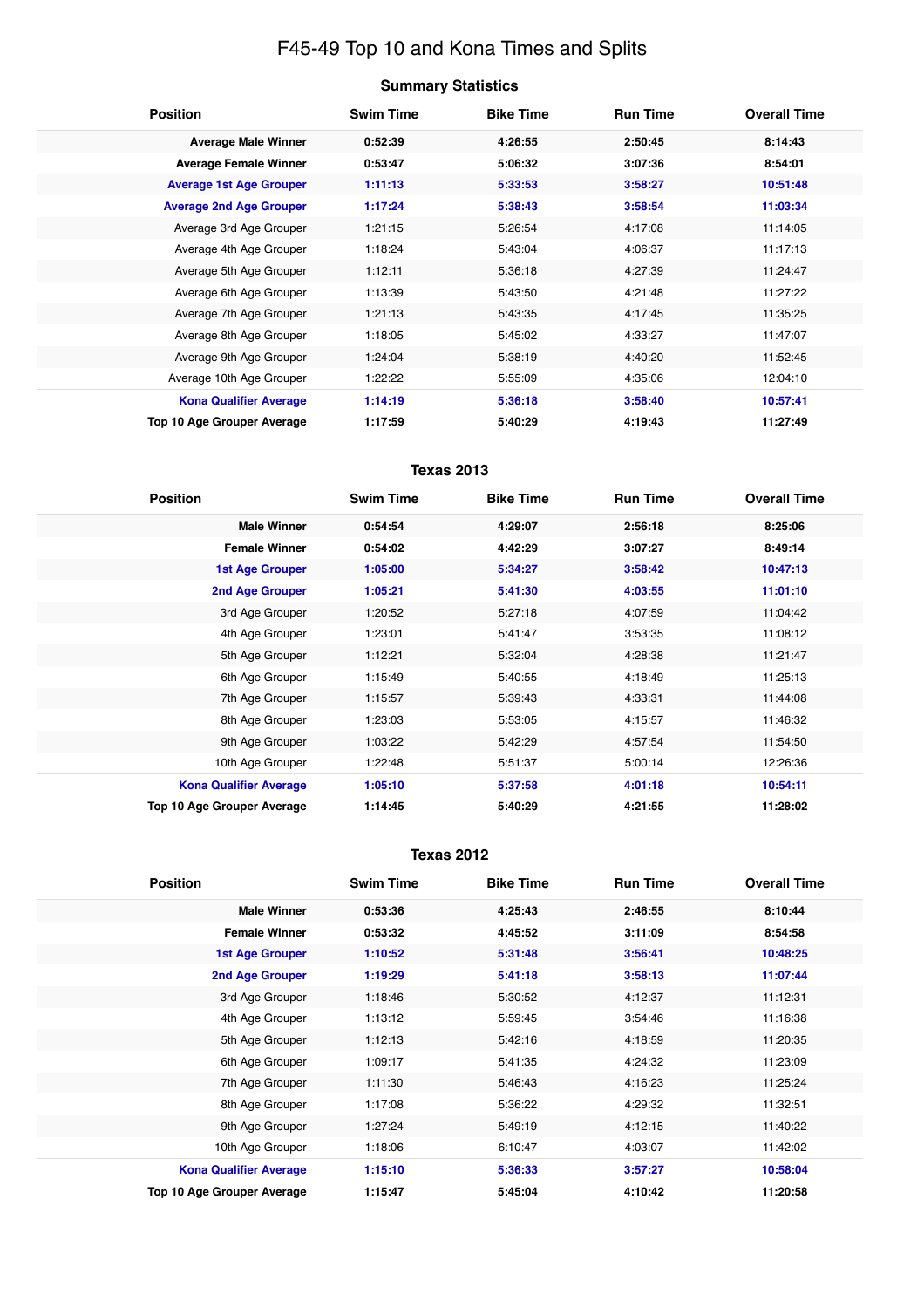## F45-49 Top 10 and Kona Times and Splits

| <b>Summary Statistics</b> |  |
|---------------------------|--|
|---------------------------|--|

| <b>Position</b>                | <b>Swim Time</b> | <b>Bike Time</b> | <b>Run Time</b> | <b>Overall Time</b> |
|--------------------------------|------------------|------------------|-----------------|---------------------|
| <b>Average Male Winner</b>     | 0:52:39          | 4:26:55          | 2:50:45         | 8:14:43             |
| <b>Average Female Winner</b>   | 0:53:47          | 5:06:32          | 3:07:36         | 8:54:01             |
| <b>Average 1st Age Grouper</b> | 1:11:13          | 5:33:53          | 3:58:27         | 10:51:48            |
| <b>Average 2nd Age Grouper</b> | 1:17:24          | 5:38:43          | 3:58:54         | 11:03:34            |
| Average 3rd Age Grouper        | 1:21:15          | 5:26:54          | 4:17:08         | 11:14:05            |
| Average 4th Age Grouper        | 1:18:24          | 5:43:04          | 4:06:37         | 11:17:13            |
| Average 5th Age Grouper        | 1:12:11          | 5:36:18          | 4:27:39         | 11:24:47            |
| Average 6th Age Grouper        | 1:13:39          | 5:43:50          | 4:21:48         | 11:27:22            |
| Average 7th Age Grouper        | 1:21:13          | 5:43:35          | 4:17:45         | 11:35:25            |
| Average 8th Age Grouper        | 1:18:05          | 5:45:02          | 4:33:27         | 11:47:07            |
| Average 9th Age Grouper        | 1:24:04          | 5:38:19          | 4:40:20         | 11:52:45            |
| Average 10th Age Grouper       | 1:22:22          | 5:55:09          | 4:35:06         | 12:04:10            |
| <b>Kona Qualifier Average</b>  | 1:14:19          | 5:36:18          | 3:58:40         | 10:57:41            |
| Top 10 Age Grouper Average     | 1:17:59          | 5:40:29          | 4:19:43         | 11:27:49            |

### **Texas 2013**

| <b>Position</b>               | <b>Swim Time</b> | <b>Bike Time</b> | <b>Run Time</b> | <b>Overall Time</b> |
|-------------------------------|------------------|------------------|-----------------|---------------------|
| <b>Male Winner</b>            | 0:54:54          | 4:29:07          | 2:56:18         | 8:25:06             |
| <b>Female Winner</b>          | 0:54:02          | 4:42:29          | 3:07:27         | 8:49:14             |
| <b>1st Age Grouper</b>        | 1:05:00          | 5:34:27          | 3:58:42         | 10:47:13            |
| 2nd Age Grouper               | 1:05:21          | 5:41:30          | 4:03:55         | 11:01:10            |
| 3rd Age Grouper               | 1:20:52          | 5:27:18          | 4:07:59         | 11:04:42            |
| 4th Age Grouper               | 1:23:01          | 5:41:47          | 3:53:35         | 11:08:12            |
| 5th Age Grouper               | 1:12:21          | 5:32:04          | 4:28:38         | 11:21:47            |
| 6th Age Grouper               | 1:15:49          | 5:40:55          | 4:18:49         | 11:25:13            |
| 7th Age Grouper               | 1:15:57          | 5:39:43          | 4:33:31         | 11:44:08            |
| 8th Age Grouper               | 1:23:03          | 5:53:05          | 4:15:57         | 11:46:32            |
| 9th Age Grouper               | 1:03:22          | 5:42:29          | 4:57:54         | 11:54:50            |
| 10th Age Grouper              | 1:22:48          | 5:51:37          | 5:00:14         | 12:26:36            |
| <b>Kona Qualifier Average</b> | 1:05:10          | 5:37:58          | 4:01:18         | 10:54:11            |
| Top 10 Age Grouper Average    | 1:14:45          | 5:40:29          | 4:21:55         | 11:28:02            |

#### **Texas 2012**

| <b>Position</b>                   | <b>Swim Time</b> | <b>Bike Time</b> | <b>Run Time</b> | <b>Overall Time</b> |
|-----------------------------------|------------------|------------------|-----------------|---------------------|
| <b>Male Winner</b>                | 0:53:36          | 4:25:43          | 2:46:55         | 8:10:44             |
| <b>Female Winner</b>              | 0:53:32          | 4:45:52          | 3:11:09         | 8:54:58             |
| <b>1st Age Grouper</b>            | 1:10:52          | 5:31:48          | 3:56:41         | 10:48:25            |
| <b>2nd Age Grouper</b>            | 1:19:29          | 5:41:18          | 3:58:13         | 11:07:44            |
| 3rd Age Grouper                   | 1:18:46          | 5:30:52          | 4:12:37         | 11:12:31            |
| 4th Age Grouper                   | 1:13:12          | 5:59:45          | 3:54:46         | 11:16:38            |
| 5th Age Grouper                   | 1:12:13          | 5:42:16          | 4:18:59         | 11:20:35            |
| 6th Age Grouper                   | 1:09:17          | 5:41:35          | 4:24:32         | 11:23:09            |
| 7th Age Grouper                   | 1:11:30          | 5:46:43          | 4:16:23         | 11:25:24            |
| 8th Age Grouper                   | 1:17:08          | 5:36:22          | 4:29:32         | 11:32:51            |
| 9th Age Grouper                   | 1:27:24          | 5:49:19          | 4:12:15         | 11:40:22            |
| 10th Age Grouper                  | 1:18:06          | 6:10:47          | 4:03:07         | 11:42:02            |
| <b>Kona Qualifier Average</b>     | 1:15:10          | 5:36:33          | 3:57:27         | 10:58:04            |
| <b>Top 10 Age Grouper Average</b> | 1:15:47          | 5:45:04          | 4:10:42         | 11:20:58            |